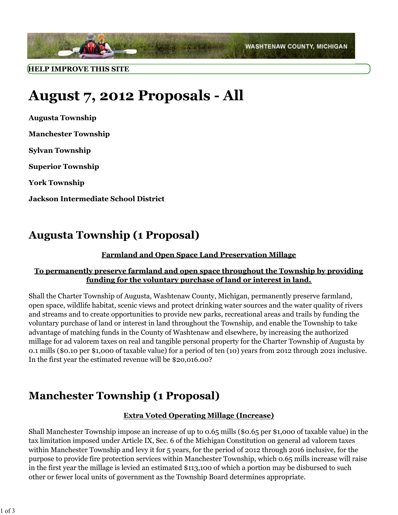

# **August 7, 2012 Proposals - All**

**Augusta Township Manchester Township Sylvan Township Superior Township York Township Jackson Intermediate School District**

### **Augusta Township (1 Proposal)**

### **Farmland and Open Space Land Preservation Millage**

#### **To permanently preserve farmland and open space throughout the Township by providing funding for the voluntary purchase of land or interest in land.**

Shall the Charter Township of Augusta, Washtenaw County, Michigan, permanently preserve farmland, open space, wildlife habitat, scenic views and protect drinking water sources and the water quality of rivers and streams and to create opportunities to provide new parks, recreational areas and trails by funding the voluntary purchase of land or interest in land throughout the Township, and enable the Township to take advantage of matching funds in the County of Washtenaw and elsewhere, by increasing the authorized millage for ad valorem taxes on real and tangible personal property for the Charter Township of Augusta by 0.1 mills (\$0.10 per \$1,000 of taxable value) for a period of ten (10) years from 2012 through 2021 inclusive. In the first year the estimated revenue will be \$20,016.00?

### **Manchester Township (1 Proposal)**

#### **Extra Voted Operating Millage (Increase)**

Shall Manchester Township impose an increase of up to 0.65 mills (\$0.65 per \$1,000 of taxable value) in the tax limitation imposed under Article IX, Sec. 6 of the Michigan Constitution on general ad valorem taxes within Manchester Township and levy it for 5 years, for the period of 2012 through 2016 inclusive, for the purpose to provide fire protection services within Manchester Township, which 0.65 mills increase will raise in the first year the millage is levied an estimated \$113,100 of which a portion may be disbursed to such other or fewer local units of government as the Township Board determines appropriate.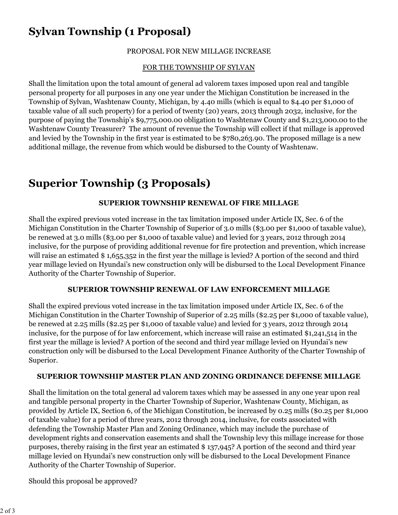# **Sylvan Township (1 Proposal)**

### PROPOSAL FOR NEW MILLAGE INCREASE

### FOR THE TOWNSHIP OF SYLVAN

Shall the limitation upon the total amount of general ad valorem taxes imposed upon real and tangible personal property for all purposes in any one year under the Michigan Constitution be increased in the Township of Sylvan, Washtenaw County, Michigan, by 4.40 mills (which is equal to \$4.40 per \$1,000 of taxable value of all such property) for a period of twenty (20) years, 2013 through 2032, inclusive, for the purpose of paying the Township's \$9,775,000.00 obligation to Washtenaw County and \$1,213,000.00 to the Washtenaw County Treasurer? The amount of revenue the Township will collect if that millage is approved and levied by the Township in the first year is estimated to be \$780,263.90. The proposed millage is a new additional millage, the revenue from which would be disbursed to the County of Washtenaw.

# **Superior Township (3 Proposals)**

#### **SUPERIOR TOWNSHIP RENEWAL OF FIRE MILLAGE**

Shall the expired previous voted increase in the tax limitation imposed under Article IX, Sec. 6 of the Michigan Constitution in the Charter Township of Superior of 3.0 mills (\$3.00 per \$1,000 of taxable value), be renewed at 3.0 mills (\$3.00 per \$1,000 of taxable value) and levied for 3 years, 2012 through 2014 inclusive, for the purpose of providing additional revenue for fire protection and prevention, which increase will raise an estimated \$1,655,352 in the first year the millage is levied? A portion of the second and third year millage levied on Hyundai's new construction only will be disbursed to the Local Development Finance Authority of the Charter Township of Superior.

#### **SUPERIOR TOWNSHIP RENEWAL OF LAW ENFORCEMENT MILLAGE**

Shall the expired previous voted increase in the tax limitation imposed under Article IX, Sec. 6 of the Michigan Constitution in the Charter Township of Superior of 2.25 mills (\$2.25 per \$1,000 of taxable value), be renewed at 2.25 mills (\$2.25 per \$1,000 of taxable value) and levied for 3 years, 2012 through 2014 inclusive, for the purpose of for law enforcement, which increase will raise an estimated \$1,241,514 in the first year the millage is levied? A portion of the second and third year millage levied on Hyundai's new construction only will be disbursed to the Local Development Finance Authority of the Charter Township of Superior.

#### **SUPERIOR TOWNSHIP MASTER PLAN AND ZONING ORDINANCE DEFENSE MILLAGE**

Shall the limitation on the total general ad valorem taxes which may be assessed in any one year upon real and tangible personal property in the Charter Township of Superior, Washtenaw County, Michigan, as provided by Article IX, Section 6, of the Michigan Constitution, be increased by 0.25 mills (\$0.25 per \$1,000 of taxable value) for a period of three years, 2012 through 2014, inclusive, for costs associated with defending the Township Master Plan and Zoning Ordinance, which may include the purchase of development rights and conservation easements and shall the Township levy this millage increase for those purposes, thereby raising in the first year an estimated \$ 137,945? A portion of the second and third year millage levied on Hyundai's new construction only will be disbursed to the Local Development Finance Authority of the Charter Township of Superior.

Should this proposal be approved?